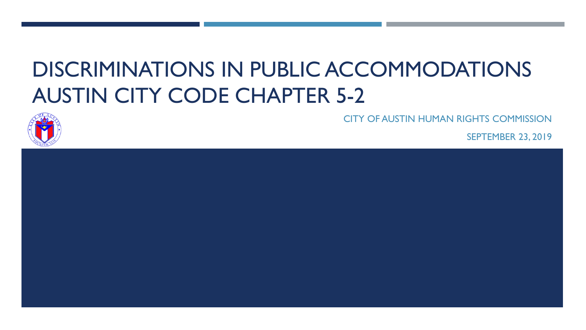# DISCRIMINATIONS IN PUBLIC ACCOMMODATIONS AUSTIN CITY CODE CHAPTER 5-2



CITY OF AUSTIN HUMAN RIGHTS COMMISSION

SEPTEMBER 23, 2019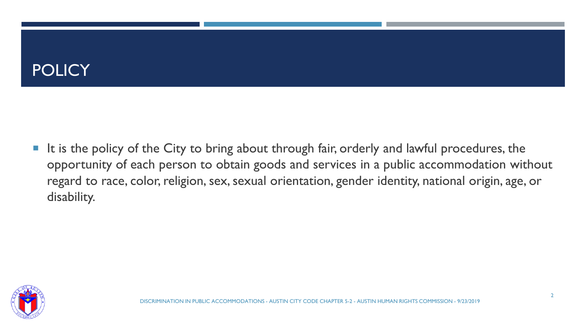#### **POLICY**

It is the policy of the City to bring about through fair, orderly and lawful procedures, the opportunity of each person to obtain goods and services in a public accommodation without regard to race, color, religion, sex, sexual orientation, gender identity, national origin, age, or disability.

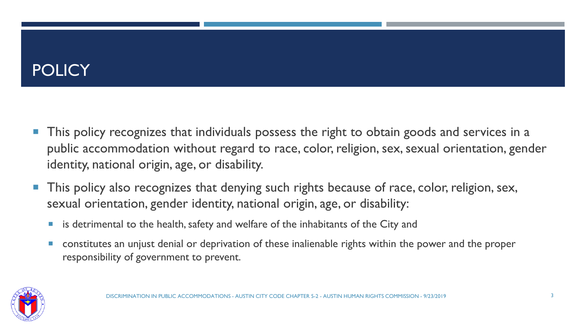## **POLICY**

- This policy recognizes that individuals possess the right to obtain goods and services in a public accommodation without regard to race, color, religion, sex, sexual orientation, gender identity, national origin, age, or disability.
- This policy also recognizes that denying such rights because of race, color, religion, sex, sexual orientation, gender identity, national origin, age, or disability:
	- **I** is detrimental to the health, safety and welfare of the inhabitants of the City and
	- **EXT** constitutes an unjust denial or deprivation of these inalienable rights within the power and the proper responsibility of government to prevent.

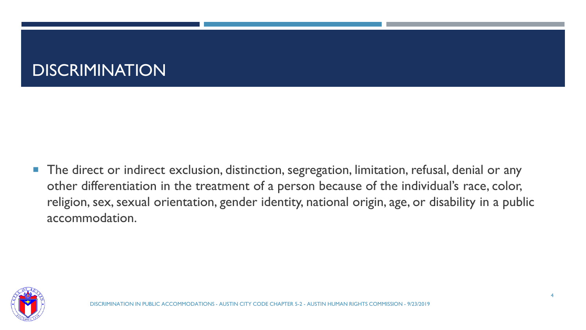#### **DISCRIMINATION**

**The direct or indirect exclusion, distinction, segregation, limitation, refusal, denial or any** other differentiation in the treatment of a person because of the individual's race, color, religion, sex, sexual orientation, gender identity, national origin, age, or disability in a public accommodation.

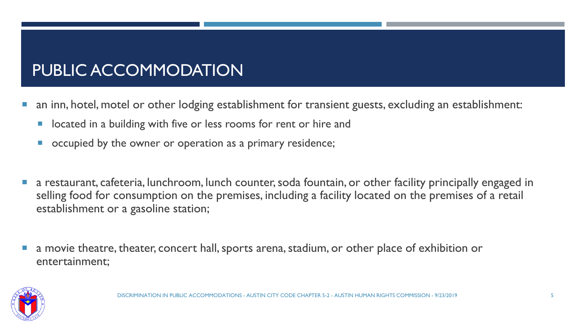### PUBLIC ACCOMMODATION

- an inn, hotel, motel or other lodging establishment for transient guests, excluding an establishment:
	- located in a building with five or less rooms for rent or hire and
	- occupied by the owner or operation as a primary residence;
- a restaurant, cafeteria, lunchroom, lunch counter, soda fountain, or other facility principally engaged in selling food for consumption on the premises, including a facility located on the premises of a retail establishment or a gasoline station;
- a movie theatre, theater, concert hall, sports arena, stadium, or other place of exhibition or entertainment;

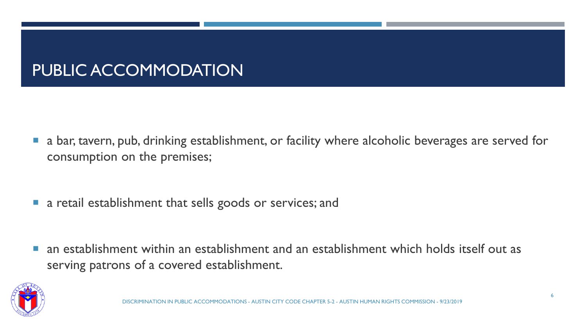### PUBLIC ACCOMMODATION

- **a** bar, tavern, pub, drinking establishment, or facility where alcoholic beverages are served for consumption on the premises;
- **a** retail establishment that sells goods or services; and
- an establishment within an establishment and an establishment which holds itself out as serving patrons of a covered establishment.

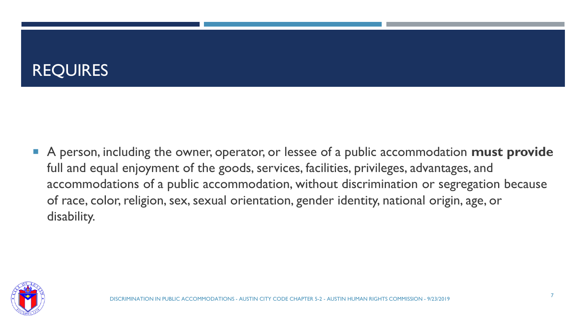### **REQUIRES**

 A person, including the owner, operator, or lessee of a public accommodation **must provide** full and equal enjoyment of the goods, services, facilities, privileges, advantages, and accommodations of a public accommodation, without discrimination or segregation because of race, color, religion, sex, sexual orientation, gender identity, national origin, age, or disability.

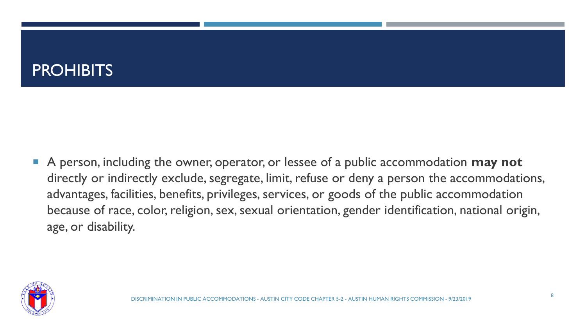#### **PROHIBITS**

 A person, including the owner, operator, or lessee of a public accommodation **may not**  directly or indirectly exclude, segregate, limit, refuse or deny a person the accommodations, advantages, facilities, benefits, privileges, services, or goods of the public accommodation because of race, color, religion, sex, sexual orientation, gender identification, national origin, age, or disability.